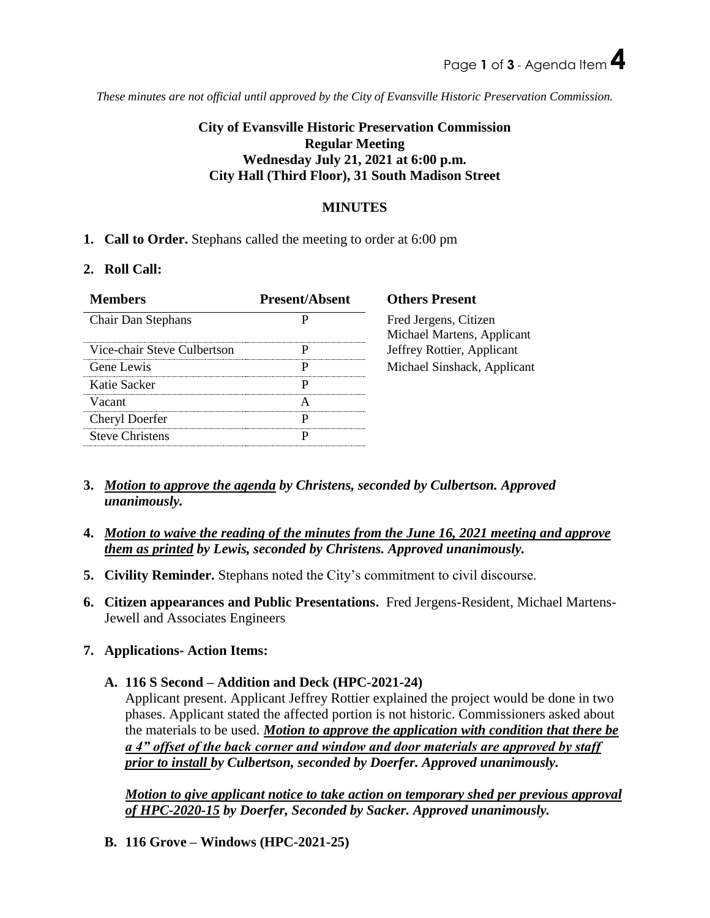*These minutes are not official until approved by the City of Evansville Historic Preservation Commission.*

# **City of Evansville Historic Preservation Commission Regular Meeting Wednesday July 21, 2021 at 6:00 p.m. City Hall (Third Floor), 31 South Madison Street**

## **MINUTES**

## **1. Call to Order.** Stephans called the meeting to order at 6:00 pm

### **2. Roll Call:**

| <b>Members</b>              | <b>Present/Absent</b> | <b>Others Present</b>                               |
|-----------------------------|-----------------------|-----------------------------------------------------|
| Chair Dan Stephans          |                       | Fred Jergens, Citizen<br>Michael Martens, Applicant |
| Vice-chair Steve Culbertson |                       | Jeffrey Rottier, Applicant                          |
| Gene Lewis                  |                       | Michael Sinshack, Applicant                         |
| Katie Sacker                |                       |                                                     |
| Vacant                      |                       |                                                     |
| Cheryl Doerfer              |                       |                                                     |
| <b>Steve Christens</b>      |                       |                                                     |

**3.** *Motion to approve the agenda by Christens, seconded by Culbertson. Approved unanimously.* 

- **4.** *Motion to waive the reading of the minutes from the June 16, 2021 meeting and approve them as printed by Lewis, seconded by Christens. Approved unanimously.*
- **5. Civility Reminder.** Stephans noted the City's commitment to civil discourse.
- **6. Citizen appearances and Public Presentations.** Fred Jergens-Resident, Michael Martens-Jewell and Associates Engineers

### **7. Applications- Action Items:**

### **A. 116 S Second – Addition and Deck (HPC-2021-24)**

Applicant present. Applicant Jeffrey Rottier explained the project would be done in two phases. Applicant stated the affected portion is not historic. Commissioners asked about the materials to be used. *Motion to approve the application with condition that there be a 4" offset of the back corner and window and door materials are approved by staff prior to install by Culbertson, seconded by Doerfer. Approved unanimously.*

*Motion to give applicant notice to take action on temporary shed per previous approval of HPC-2020-15 by Doerfer, Seconded by Sacker. Approved unanimously.*

**B. 116 Grove – Windows (HPC-2021-25)**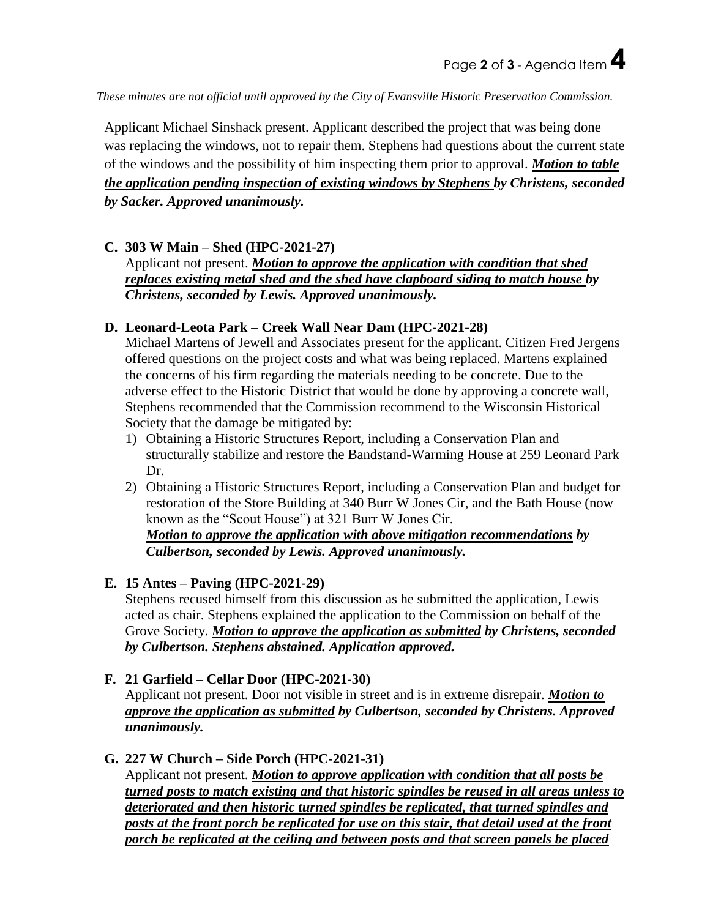*These minutes are not official until approved by the City of Evansville Historic Preservation Commission.*

Applicant Michael Sinshack present. Applicant described the project that was being done was replacing the windows, not to repair them. Stephens had questions about the current state of the windows and the possibility of him inspecting them prior to approval. *Motion to table the application pending inspection of existing windows by Stephens by Christens, seconded by Sacker. Approved unanimously.*

### **C. 303 W Main – Shed (HPC-2021-27)**

Applicant not present. *Motion to approve the application with condition that shed replaces existing metal shed and the shed have clapboard siding to match house by Christens, seconded by Lewis. Approved unanimously.*

### **D. Leonard-Leota Park – Creek Wall Near Dam (HPC-2021-28)**

Michael Martens of Jewell and Associates present for the applicant. Citizen Fred Jergens offered questions on the project costs and what was being replaced. Martens explained the concerns of his firm regarding the materials needing to be concrete. Due to the adverse effect to the Historic District that would be done by approving a concrete wall, Stephens recommended that the Commission recommend to the Wisconsin Historical Society that the damage be mitigated by:

- 1) Obtaining a Historic Structures Report, including a Conservation Plan and structurally stabilize and restore the Bandstand-Warming House at 259 Leonard Park Dr.
- 2) Obtaining a Historic Structures Report, including a Conservation Plan and budget for restoration of the Store Building at 340 Burr W Jones Cir, and the Bath House (now known as the "Scout House") at 321 Burr W Jones Cir.

*Motion to approve the application with above mitigation recommendations by Culbertson, seconded by Lewis. Approved unanimously.*

### **E. 15 Antes – Paving (HPC-2021-29)**

Stephens recused himself from this discussion as he submitted the application, Lewis acted as chair. Stephens explained the application to the Commission on behalf of the Grove Society. *Motion to approve the application as submitted by Christens, seconded by Culbertson. Stephens abstained. Application approved.*

### **F. 21 Garfield – Cellar Door (HPC-2021-30)**

Applicant not present. Door not visible in street and is in extreme disrepair. *Motion to approve the application as submitted by Culbertson, seconded by Christens. Approved unanimously.*

### **G. 227 W Church – Side Porch (HPC-2021-31)**

Applicant not present. *Motion to approve application with condition that all posts be turned posts to match existing and that historic spindles be reused in all areas unless to deteriorated and then historic turned spindles be replicated, that turned spindles and posts at the front porch be replicated for use on this stair, that detail used at the front porch be replicated at the ceiling and between posts and that screen panels be placed*